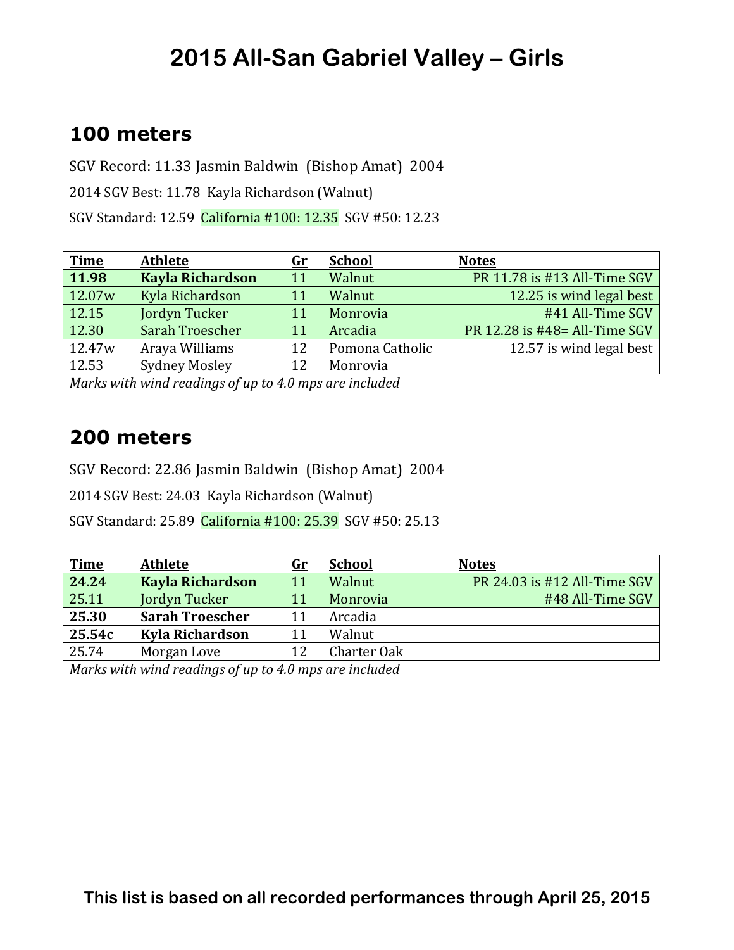### **100 meters**

SGV Record: 11.33 Jasmin Baldwin (Bishop Amat) 2004 2014 SGV Best: 11.78 Kayla Richardson (Walnut) SGV Standard: 12.59 California #100: 12.35 SGV #50: 12.23

| <b>Time</b>        | <b>Athlete</b>          | $\mathbf{G}$ r | <b>School</b>   | <b>Notes</b>                  |
|--------------------|-------------------------|----------------|-----------------|-------------------------------|
| 11.98              | <b>Kayla Richardson</b> | 11             | Walnut          | PR 11.78 is #13 All-Time SGV  |
| 12.07 <sub>w</sub> | Kyla Richardson         | 11             | Walnut          | 12.25 is wind legal best      |
| 12.15              | Jordyn Tucker           | 11             | Monrovia        | #41 All-Time SGV              |
| 12.30              | Sarah Troescher         | 11             | Arcadia         | PR 12.28 is #48= All-Time SGV |
| 12.47 <sub>w</sub> | Araya Williams          | 12             | Pomona Catholic | 12.57 is wind legal best      |
| 12.53              | <b>Sydney Mosley</b>    | 12             | Monrovia        |                               |

*Marks* with wind readings of up to 4.0 mps are included

#### **200 meters**

SGV Record: 22.86 Jasmin Baldwin (Bishop Amat) 2004

2014 SGV Best: 24.03 Kayla Richardson (Walnut)

SGV Standard: 25.89 California #100: 25.39 SGV #50: 25.13

| <b>Time</b> | <b>Athlete</b>          | $\mathbf{G}$ r | <b>School</b> | <b>Notes</b>                 |
|-------------|-------------------------|----------------|---------------|------------------------------|
| 24.24       | <b>Kayla Richardson</b> | 11             | Walnut        | PR 24.03 is #12 All-Time SGV |
| 25.11       | Jordyn Tucker           | 11             | Monrovia      | #48 All-Time SGV             |
| 25.30       | <b>Sarah Troescher</b>  | 11             | Arcadia       |                              |
| 25.54c      | Kyla Richardson         |                | Walnut        |                              |
| 25.74       | Morgan Love             | 12             | Charter Oak   |                              |

*Marks* with wind readings of up to 4.0 mps are included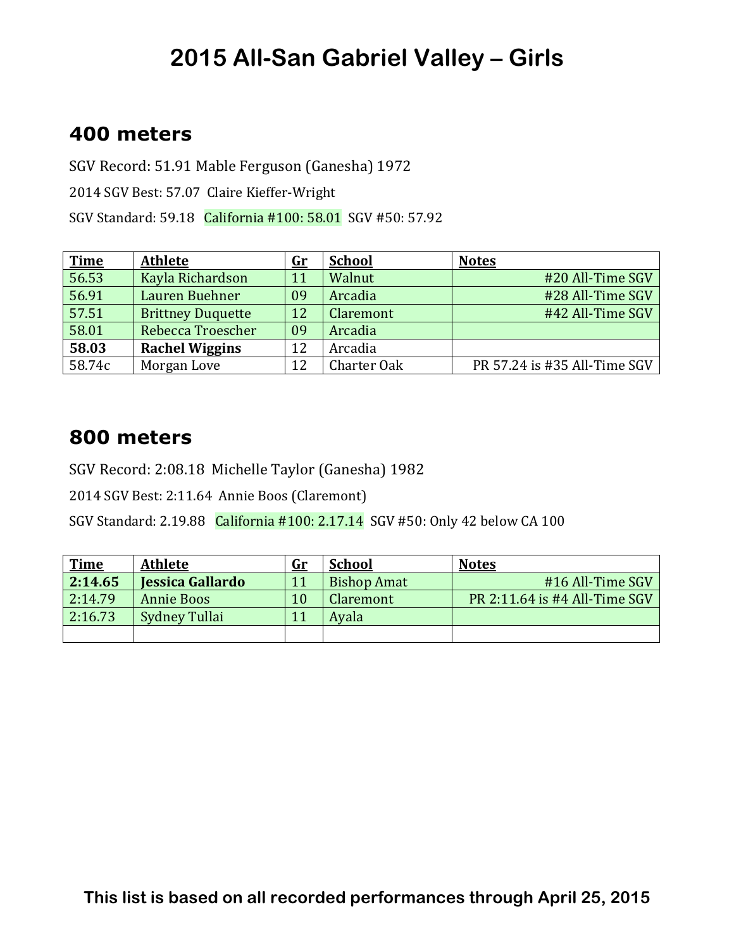### **400 meters**

SGV Record: 51.91 Mable Ferguson (Ganesha) 1972

2014 SGV Best: 57.07 Claire Kieffer-Wright

SGV Standard: 59.18 California #100: 58.01 SGV #50: 57.92

| <b>Time</b> | <b>Athlete</b>           | <u>Gr</u> | <b>School</b>    | <b>Notes</b>                 |
|-------------|--------------------------|-----------|------------------|------------------------------|
| 56.53       | Kayla Richardson         | 11        | Walnut           | #20 All-Time SGV             |
| 56.91       | Lauren Buehner           | 09        | Arcadia          | #28 All-Time SGV             |
| 57.51       | <b>Brittney Duquette</b> | 12        | <b>Claremont</b> | #42 All-Time SGV             |
| 58.01       | Rebecca Troescher        | 09        | Arcadia          |                              |
| 58.03       | <b>Rachel Wiggins</b>    | 12        | Arcadia          |                              |
| 58.74c      | Morgan Love              | 12        | Charter Oak      | PR 57.24 is #35 All-Time SGV |

#### **800 meters**

SGV Record: 2:08.18 Michelle Taylor (Ganesha) 1982

2014 SGV Best: 2:11.64 Annie Boos (Claremont)

SGV Standard: 2.19.88 California #100: 2.17.14 SGV #50: Only 42 below CA 100

| <b>Time</b> | <b>Athlete</b>          | <u>Gr</u> | <b>School</b>      | <b>Notes</b>                  |
|-------------|-------------------------|-----------|--------------------|-------------------------------|
| 2:14.65     | <b>Jessica Gallardo</b> | 11        | <b>Bishop Amat</b> | #16 All-Time SGV              |
| 2:14.79     | <b>Annie Boos</b>       | 10        | Claremont          | PR 2:11.64 is #4 All-Time SGV |
| 2:16.73     | Sydney Tullai           | 11        | Avala              |                               |
|             |                         |           |                    |                               |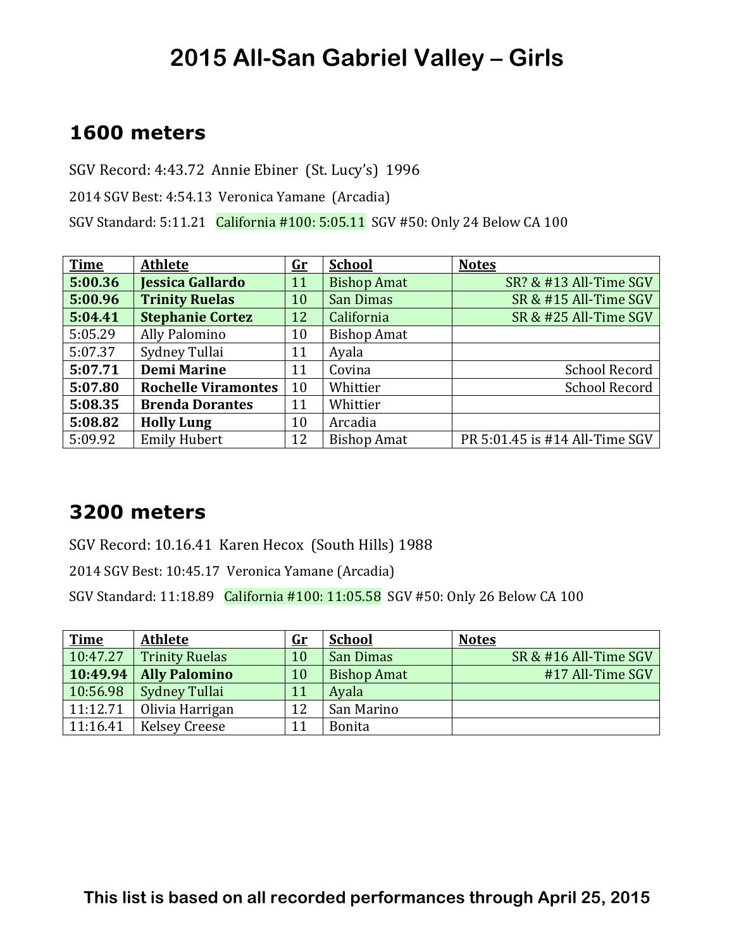#### **1600 meters**

SGV Record: 4:43.72 Annie Ebiner (St. Lucy's) 1996

2014 SGV Best: 4:54.13 Veronica Yamane (Arcadia)

SGV Standard: 5:11.21 California #100: 5:05.11 SGV #50: Only 24 Below CA 100

| <b>Time</b> | <b>Athlete</b>             | <u>Gr</u> | <b>School</b>      | <b>Notes</b>                   |
|-------------|----------------------------|-----------|--------------------|--------------------------------|
| 5:00.36     | <b>Jessica Gallardo</b>    | 11        | <b>Bishop Amat</b> | SR? & #13 All-Time SGV         |
| 5:00.96     | <b>Trinity Ruelas</b>      | 10        | San Dimas          | SR & #15 All-Time SGV          |
| 5:04.41     | <b>Stephanie Cortez</b>    | 12        | California         | SR & #25 All-Time SGV          |
| 5:05.29     | Ally Palomino              | 10        | <b>Bishop Amat</b> |                                |
| 5:07.37     | Sydney Tullai              | 11        | Ayala              |                                |
| 5:07.71     | <b>Demi Marine</b>         | 11        | Covina             | <b>School Record</b>           |
| 5:07.80     | <b>Rochelle Viramontes</b> | 10        | Whittier           | <b>School Record</b>           |
| 5:08.35     | <b>Brenda Dorantes</b>     | 11        | Whittier           |                                |
| 5:08.82     | <b>Holly Lung</b>          | 10        | Arcadia            |                                |
| 5:09.92     | <b>Emily Hubert</b>        | 12        | <b>Bishop Amat</b> | PR 5:01.45 is #14 All-Time SGV |

#### **3200 meters**

SGV Record: 10.16.41 Karen Hecox (South Hills) 1988

2014 SGV Best: 10:45.17 Veronica Yamane (Arcadia)

SGV Standard: 11:18.89 California #100: 11:05.58 SGV #50: Only 26 Below CA 100

| <b>Time</b> | <b>Athlete</b>        | <u>Gr</u> | <b>School</b>      | <b>Notes</b>          |
|-------------|-----------------------|-----------|--------------------|-----------------------|
| 10:47.27    | <b>Trinity Ruelas</b> | 10        | San Dimas          | SR & #16 All-Time SGV |
| 10:49.94    | <b>Ally Palomino</b>  | 10        | <b>Bishop Amat</b> | #17 All-Time SGV      |
| 10:56.98    | <b>Sydney Tullai</b>  | 11        | Ayala              |                       |
| 11:12.71    | Olivia Harrigan       | 12        | San Marino         |                       |
| 11:16.41    | <b>Kelsey Creese</b>  | 11        | <b>Bonita</b>      |                       |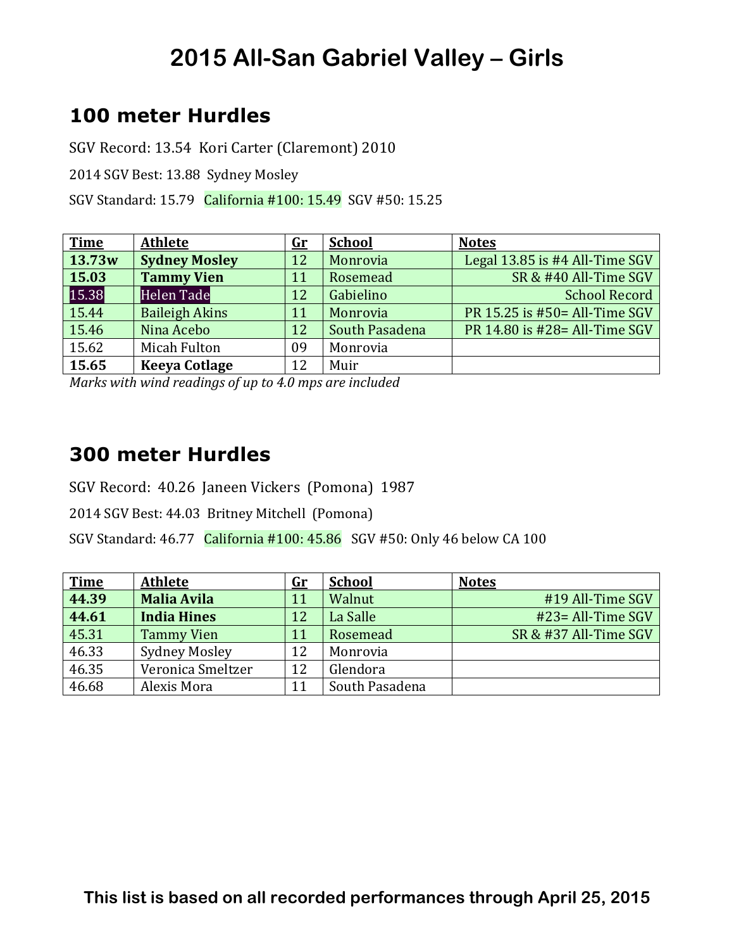## **100 meter Hurdles**

SGV Record: 13.54 Kori Carter (Claremont) 2010

2014 SGV Best: 13.88 Sydney Mosley

SGV Standard: 15.79 California #100: 15.49 SGV #50: 15.25

| <b>Time</b> | <b>Athlete</b>        | $\mathbf{G}\mathbf{r}$ | <b>School</b>  | <b>Notes</b>                   |
|-------------|-----------------------|------------------------|----------------|--------------------------------|
| 13.73w      | <b>Sydney Mosley</b>  | 12                     | Monrovia       | Legal 13.85 is #4 All-Time SGV |
| 15.03       | <b>Tammy Vien</b>     | 11                     | Rosemead       | SR & #40 All-Time SGV          |
| 15.38       | Helen Tade            | 12                     | Gabielino      | <b>School Record</b>           |
| 15.44       | <b>Baileigh Akins</b> | 11                     | Monrovia       | PR 15.25 is #50 = All-Time SGV |
| 15.46       | Nina Acebo            | 12                     | South Pasadena | PR 14.80 is #28= All-Time SGV  |
| 15.62       | Micah Fulton          | 09                     | Monrovia       |                                |
| 15.65       | <b>Keeya Cotlage</b>  | 12                     | Muir           |                                |

*Marks with wind readings of up to 4.0 mps are included* 

#### **300 meter Hurdles**

SGV Record: 40.26 Janeen Vickers (Pomona) 1987

2014 SGV Best: 44.03 Britney Mitchell (Pomona)

SGV Standard:  $46.77$  California  $\#100:45.86$  SGV  $\#50:$  Only 46 below CA 100

| <b>Time</b> | <b>Athlete</b>       | <u>Gr</u> | <b>School</b>  | <b>Notes</b>          |
|-------------|----------------------|-----------|----------------|-----------------------|
| 44.39       | <b>Malia Avila</b>   | 11        | Walnut         | #19 All-Time SGV      |
| 44.61       | <b>India Hines</b>   | 12        | La Salle       | $#23 = All-Time SGV$  |
| 45.31       | <b>Tammy Vien</b>    | 11        | Rosemead       | SR & #37 All-Time SGV |
| 46.33       | <b>Sydney Mosley</b> | 12        | Monrovia       |                       |
| 46.35       | Veronica Smeltzer    | 12        | Glendora       |                       |
| 46.68       | Alexis Mora          | 11        | South Pasadena |                       |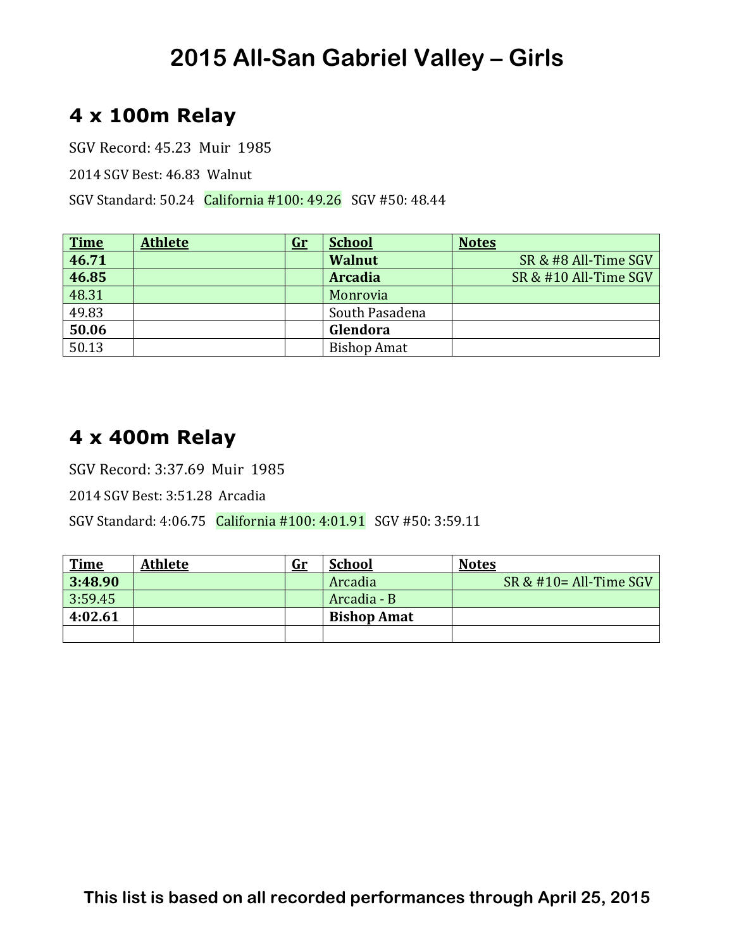## **4 x 100m Relay**

SGV Record: 45.23 Muir 1985

2014 SGV Best: 46.83 Walnut 

SGV Standard: 50.24 California #100: 49.26 SGV #50: 48.44

| $\frac{Time}{46.71}$ | <b>Athlete</b> | $\mathbf{Gr}$ | <b>School</b>      | <b>Notes</b>          |
|----------------------|----------------|---------------|--------------------|-----------------------|
|                      |                |               | <b>Walnut</b>      | SR & #8 All-Time SGV  |
| 46.85                |                |               | <b>Arcadia</b>     | SR & #10 All-Time SGV |
| 48.31                |                |               | Monrovia           |                       |
| 49.83                |                |               | South Pasadena     |                       |
| 50.06                |                |               | Glendora           |                       |
| 50.13                |                |               | <b>Bishop Amat</b> |                       |

### **4 x 400m Relay**

SGV Record: 3:37.69 Muir 1985

2014 SGV Best: 3:51.28 Arcadia 

SGV Standard: 4:06.75 California #100: 4:01.91 SGV #50: 3:59.11

| <u>Time</u> | <b>Athlete</b> | <u>Gr</u> | <b>School</b>      | <b>Notes</b>              |
|-------------|----------------|-----------|--------------------|---------------------------|
| 3:48.90     |                |           | Arcadia            | SR & $\#10=$ All-Time SGV |
| 3:59.45     |                |           | Arcadia - B        |                           |
| 4:02.61     |                |           | <b>Bishop Amat</b> |                           |
|             |                |           |                    |                           |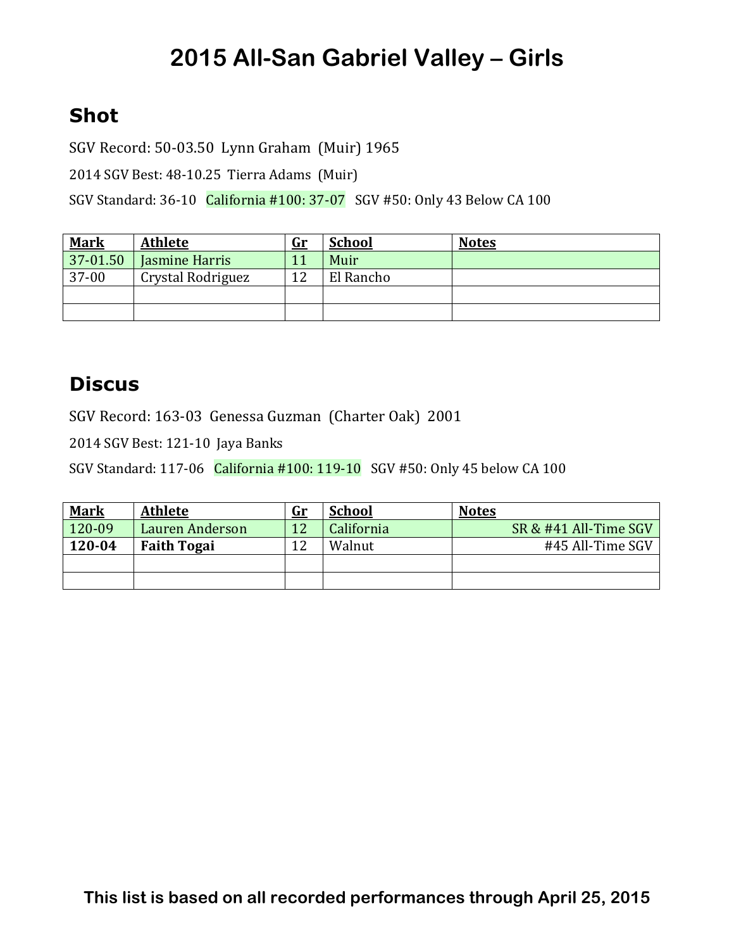## **Shot**

SGV Record: 50-03.50 Lynn Graham (Muir) 1965

2014 SGV Best: 48-10.25 Tierra Adams (Muir)

SGV Standard: 36-10 California #100: 37-07 SGV #50: Only 43 Below CA 100

| <u>Mark</u> | <b>Athlete</b>    | <u>Gr</u> | <b>School</b> | <b>Notes</b> |
|-------------|-------------------|-----------|---------------|--------------|
| 37-01.50    | Jasmine Harris    |           | Muir          |              |
| 37-00       | Crystal Rodriguez | 1 2       | El Rancho     |              |
|             |                   |           |               |              |
|             |                   |           |               |              |

### **Discus**

SGV Record: 163-03 Genessa Guzman (Charter Oak) 2001

2014 SGV Best: 121-10 Jaya Banks

SGV Standard: 117-06 California #100: 119-10 SGV #50: Only 45 below CA 100

| <b>Mark</b> | <b>Athlete</b>     | <u>Gr</u> | <b>School</b> | <b>Notes</b>          |
|-------------|--------------------|-----------|---------------|-----------------------|
| 120-09      | Lauren Anderson    | 12        | California    | SR & #41 All-Time SGV |
| 120-04      | <b>Faith Togai</b> | 12        | Walnut        | #45 All-Time SGV      |
|             |                    |           |               |                       |
|             |                    |           |               |                       |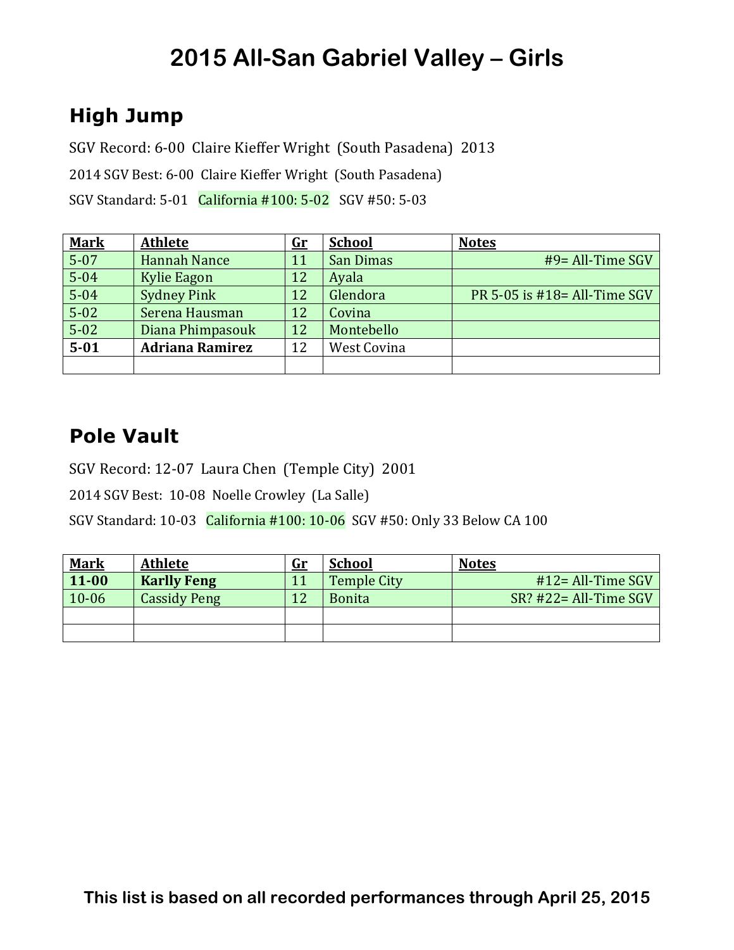## **High Jump**

SGV Record: 6-00 Claire Kieffer Wright (South Pasadena) 2013

2014 SGV Best: 6-00 Claire Kieffer Wright (South Pasadena)

SGV Standard: 5-01 California #100: 5-02 SGV #50: 5-03

| <b>Mark</b> | <b>Athlete</b>         | $G_{r}$ | <b>School</b> | <b>Notes</b>                    |
|-------------|------------------------|---------|---------------|---------------------------------|
| $5 - 07$    | <b>Hannah Nance</b>    | 11      | San Dimas     | $#9 = All-Time SGV$             |
| $5 - 04$    | Kylie Eagon            | 12      | Ayala         |                                 |
| $5 - 04$    | <b>Sydney Pink</b>     | 12      | Glendora      | PR 5-05 is $#18 = All-Time SGV$ |
| $5 - 02$    | Serena Hausman         | 12      | Covina        |                                 |
| $5 - 02$    | Diana Phimpasouk       | 12      | Montebello    |                                 |
| $5 - 01$    | <b>Adriana Ramirez</b> | 12      | West Covina   |                                 |
|             |                        |         |               |                                 |

## **Pole Vault**

SGV Record: 12-07 Laura Chen (Temple City) 2001

2014 SGV Best: 10-08 Noelle Crowley (La Salle)

SGV Standard: 10-03 California #100: 10-06 SGV #50: Only 33 Below CA 100

| <b>Mark</b> | <b>Athlete</b>      | <u>Gr</u> | <b>School</b>      | <b>Notes</b>              |
|-------------|---------------------|-----------|--------------------|---------------------------|
| $11 - 00$   | <b>Karlly Feng</b>  |           | <b>Temple City</b> | $#12 = All-Time SGV$      |
| $10 - 06$   | <b>Cassidy Peng</b> | 12        | <b>Bonita</b>      | $SR$ ? #22 = All-Time SGV |
|             |                     |           |                    |                           |
|             |                     |           |                    |                           |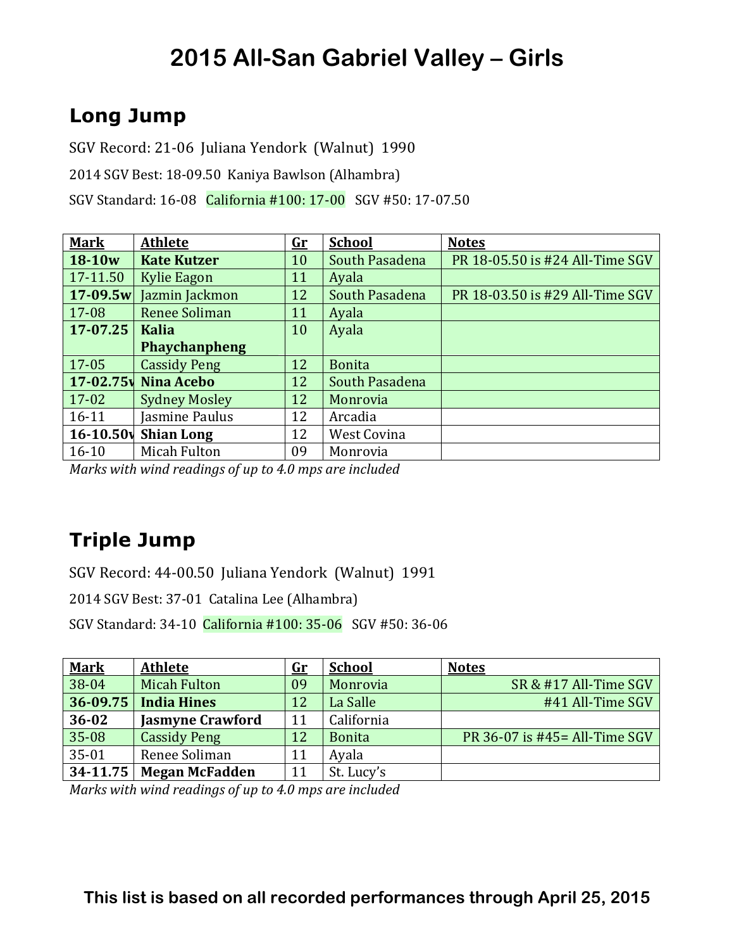## **Long Jump**

SGV Record: 21-06 Juliana Yendork (Walnut) 1990

2014 SGV Best: 18-09.50 Kaniya Bawlson (Alhambra)

SGV Standard: 16-08 California #100: 17-00 SGV #50: 17-07.50

| <b>Mark</b>   | <b>Athlete</b>       | <u>Gr</u> | <b>School</b>  | <b>Notes</b>                    |
|---------------|----------------------|-----------|----------------|---------------------------------|
| $18-10w$      | <b>Kate Kutzer</b>   | 10        | South Pasadena | PR 18-05.50 is #24 All-Time SGV |
| 17-11.50      | <b>Kylie Eagon</b>   | 11        | Ayala          |                                 |
| $17 - 09.5w$  | Jazmin Jackmon       | 12        | South Pasadena | PR 18-03.50 is #29 All-Time SGV |
| 17-08         | <b>Renee Soliman</b> | 11        | Ayala          |                                 |
| 17-07.25      | <b>Kalia</b>         | 10        | Ayala          |                                 |
|               | <b>Phaychanpheng</b> |           |                |                                 |
| 17-05         | <b>Cassidy Peng</b>  | 12        | <b>Bonita</b>  |                                 |
| $17 - 02.75$  | Nina Acebo           | 12        | South Pasadena |                                 |
| $17 - 02$     | <b>Sydney Mosley</b> | 12        | Monrovia       |                                 |
| $16 - 11$     | Jasmine Paulus       | 12        | Arcadia        |                                 |
| $16 - 10.50v$ | <b>Shian Long</b>    | 12        | West Covina    |                                 |
| $16 - 10$     | Micah Fulton         | 09        | Monrovia       |                                 |

*Marks* with wind readings of up to 4.0 mps are included

## **Triple Jump**

SGV Record: 44-00.50 Juliana Yendork (Walnut) 1991

2014 SGV Best: 37-01 Catalina Lee (Alhambra)

SGV Standard: 34-10 California #100: 35-06 SGV #50: 36-06

| <b>Mark</b> | <b>Athlete</b>          | <u>Gr</u> | <b>School</b> | <b>Notes</b>                   |
|-------------|-------------------------|-----------|---------------|--------------------------------|
| 38-04       | <b>Micah Fulton</b>     | 09        | Monrovia      | SR & #17 All-Time SGV          |
| 36-09.75    | <b>India Hines</b>      | 12        | La Salle      | #41 All-Time SGV               |
| $36 - 02$   | <b>Jasmyne Crawford</b> | 11        | California    |                                |
| 35-08       | <b>Cassidy Peng</b>     | 12        | <b>Bonita</b> | PR 36-07 is #45 = All-Time SGV |
| $35 - 01$   | Renee Soliman           | 11        | Ayala         |                                |
| 34-11.75    | <b>Megan McFadden</b>   | 11        | St. Lucy's    |                                |

*Marks with wind readings of up to 4.0 mps are included*